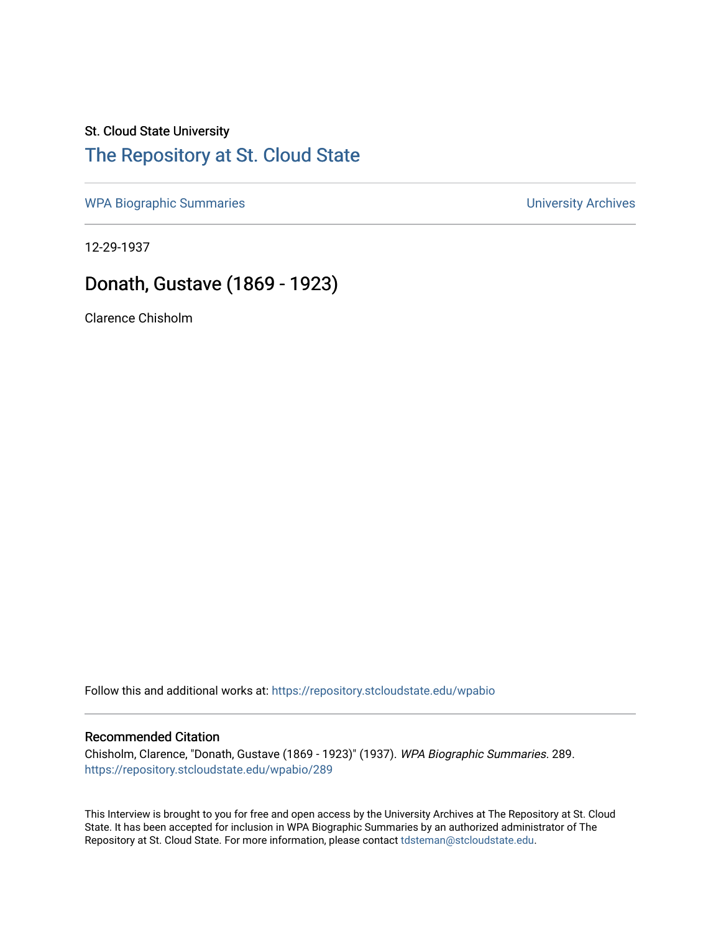# St. Cloud State University

## [The Repository at St. Cloud State](https://repository.stcloudstate.edu/)

[WPA Biographic Summaries](https://repository.stcloudstate.edu/wpabio) **WPA Biographic Summaries University Archives** 

12-29-1937

## Donath, Gustave (1869 - 1923)

Clarence Chisholm

Follow this and additional works at: [https://repository.stcloudstate.edu/wpabio](https://repository.stcloudstate.edu/wpabio?utm_source=repository.stcloudstate.edu%2Fwpabio%2F289&utm_medium=PDF&utm_campaign=PDFCoverPages) 

#### Recommended Citation

Chisholm, Clarence, "Donath, Gustave (1869 - 1923)" (1937). WPA Biographic Summaries. 289. [https://repository.stcloudstate.edu/wpabio/289](https://repository.stcloudstate.edu/wpabio/289?utm_source=repository.stcloudstate.edu%2Fwpabio%2F289&utm_medium=PDF&utm_campaign=PDFCoverPages) 

This Interview is brought to you for free and open access by the University Archives at The Repository at St. Cloud State. It has been accepted for inclusion in WPA Biographic Summaries by an authorized administrator of The Repository at St. Cloud State. For more information, please contact [tdsteman@stcloudstate.edu.](mailto:tdsteman@stcloudstate.edu)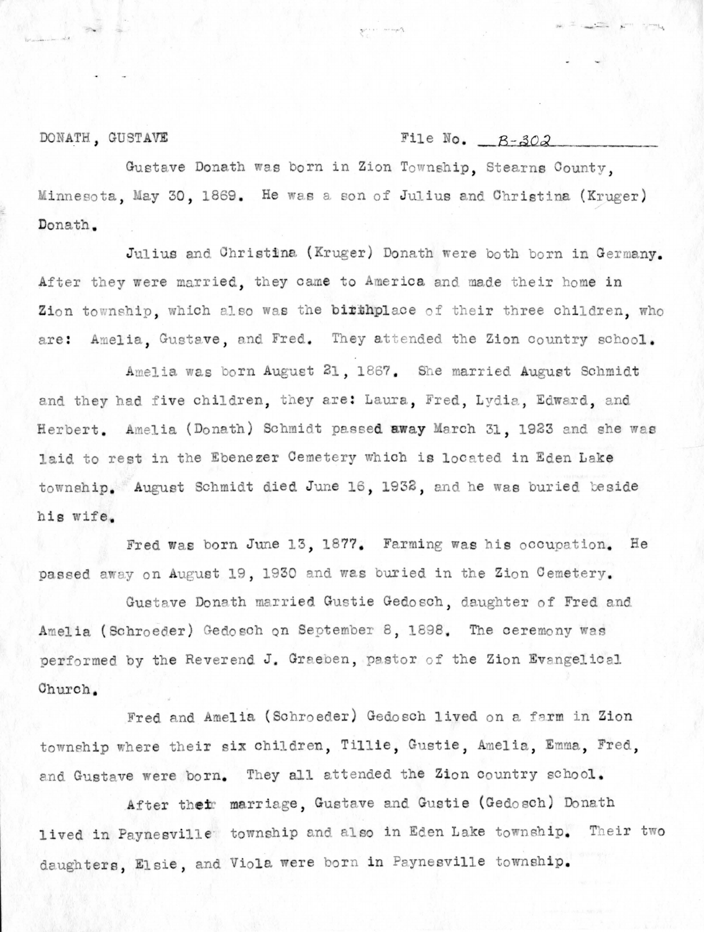DONATH, GUSTAVE

#### File No.  $B-302$

Gustave Donath was born in Zion Township. Stearns County. Minnesota, May 30, 1869. He was a son of Julius and Christina (Kruger) Donath.

Julius and Christina (Kruger) Donath were both born in Germany. After they were married, they came to America and made their home in Zion township, which also was the birthplace of their three children, who are: Amelia. Gustave, and Fred. They attended the Zion country school.

Amelia was born August 21, 1867. She married August Schmidt and they had five children, they are: Laura, Fred, Lydia, Edward, and Herbert. Amelia (Donath) Schmidt passed away March 31, 1923 and she was laid to rest in the Ebenezer Cemetery which is located in Eden Lake township. August Schmidt died June 16, 1932, and he was buried beside his wife.

Fred was born June 13, 1877. Farming was his occupation. He passed away on August 19, 1930 and was buried in the Zion Cemetery.

Gustave Donath married Gustie Gedosch, daughter of Fred and Amelia (Schroeder) Gedosch on September 8, 1898. The ceremony was performed by the Reverend J. Graeben, pastor of the Zion Evangelical Church.

Fred and Amelia (Schroeder) Gedosch lived on a farm in Zion township where their six children, Tillie, Gustie, Amelia, Emma, Fred, and Gustave were born. They all attended the Zion country school.

After their marriage, Gustave and Gustie (Gedosch) Donath lived in Paynesville township and also in Eden Lake township. Their two daughters, Elsie, and Viola were born in Paynesville township.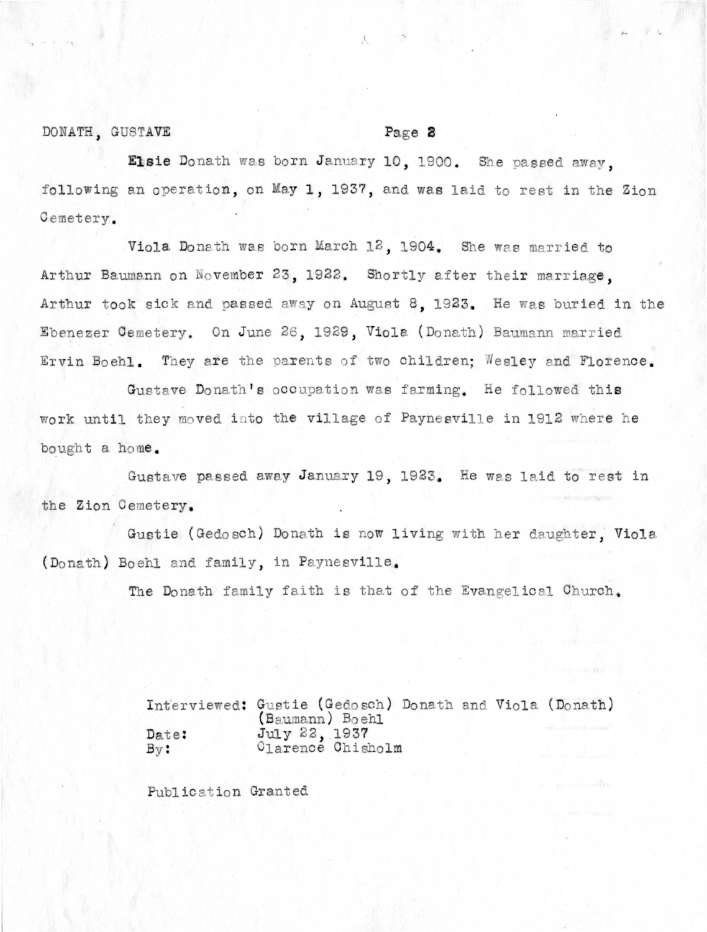#### DONATH, GUSTAVE

#### Page 2

Elsie Donath was born January 10, 1900. She passed away, following an operation, on May 1, 1937, and was laid to rest in the Zion Cemetery.

 $X$ 

Viola Donath was born March 12, 1904. She was married to Arthur Baumann on November 23, 1922. Shortly after their marriage. Arthur took sick and passed away on August 8, 1923. He was buried in the Ebenezer Cemetery. On June 26, 1929, Viola (Donath) Baumann married Ervin Boehl. They are the parents of two children; Wesley and Florence.

Gustave Donath's occupation was farming. He followed this work until they moved into the village of Paynesville in 1912 where he bought a home.

Gustave passed away January 19, 1923. He was laid to rest in the Zion Cemetery.

Gustie (Gedosch) Donath is now living with her daughter, Viola (Donath) Boehl and family, in Paynesville.

The Donath family faith is that of the Evangelical Church,

Interviewed: Gustie (Gedosch) Donath and Viola (Donath) (Baumann) Boehl July 22, 1937 Date: Clarence Chisholm  $\mathbf{B}\mathbf{v}$  :

Publication Granted